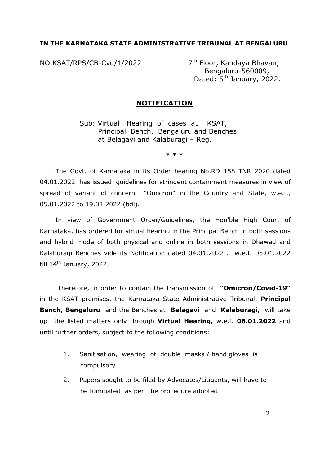# **IN THE KARNATAKA STATE ADMINISTRATIVE TRIBUNAL AT BENGALURU**

NO.KSAT/RPS/CB-Cvd/1/2022

7<sup>th</sup> Floor, Kandaya Bhavan, Bengaluru-560009, Dated: 5<sup>th</sup> January, 2022.

## **NOTIFICATION**

Sub: Virtual Hearing of cases at KSAT, Principal Bench, Bengaluru and Benches at Belagavi and Kalaburagi – Reg.

\* \* \*

The Govt. of Karnataka in its Order bearing No.RD 158 TNR 2020 dated 04.01.2022 has issued guidelines for stringent containment measures in view of spread of variant of concern "Omicron" in the Country and State, w.e.f., 05.01.2022 to 19.01.2022 (bdi).

In view of Government Order/Guidelines, the Hon'ble High Court of Karnataka, has ordered for virtual hearing in the Principal Bench in both sessions and hybrid mode of both physical and online in both sessions in Dhawad and Kalaburagi Benches vide its Notification dated 04.01.2022., w.e.f. 05.01.2022 till  $14<sup>th</sup>$  January, 2022.

Therefore, in order to contain the transmission of **"Omicron/Covid-19"** in the KSAT premises, the Karnataka State Administrative Tribunal, **Principal Bench, Bengaluru** and the Benches at **Belagavi** and **Kalaburagi,** will take up the listed matters only through **Virtual Hearing,** w.e.f. **06.01.2022** and until further orders, subject to the following conditions:

- 1. Sanitisation, wearing of double masks / hand gloves is compulsory
- 2. Papers sought to be filed by Advocates/Litigants, will have to be fumigated as per the procedure adopted.